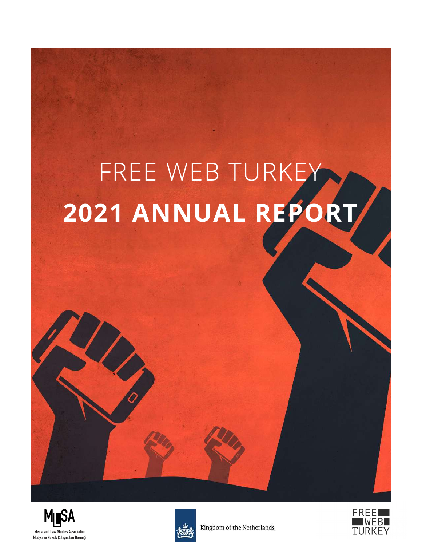# FREE WEB TURKEY **2021 ANNUAL REPORT**





Kingdom of the Netherlands

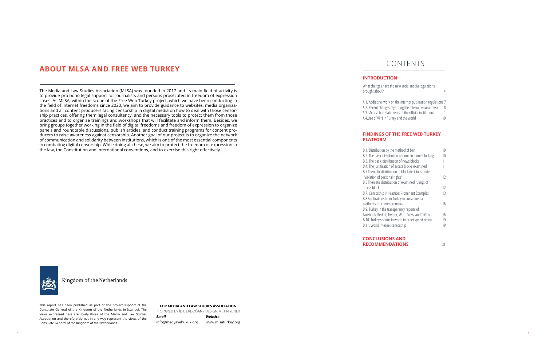#### **FOR MEDIA AND LAW STUDIES ASSOCIATION**

# CONTENTS

### **ABOUT MLSA AND FREE WEB TURKEY**

#### **INTRODUCTION**

What changes have the new social media regulations brought about? [4](#page-2-0)

[A](#page-3-0).1. Additional work on the in A.2. Recent changes regarding A.3. Access ban statements of A 4.Use of VPN in Turkey and

| nternet publication regulations 7 |    |
|-----------------------------------|----|
| g the Internet environment        | 8  |
| f the official institutions       | q  |
| the world                         | 10 |

### **FINDINGS OF THE FREE WEB TURKEY**

| od of ban               | 10 |
|-------------------------|----|
| domain name blocking    | 10 |
| news blocks             | 11 |
| s blocks examined       | 11 |
| block decisions under   |    |
|                         | 12 |
| examined rulings of     |    |
|                         | 12 |
| Prominent Examples      | 13 |
| to social media         |    |
| al                      | 16 |
| ncy reports of          |    |
| ordPress and TikTok     | 16 |
| d internet speed report | 19 |
| hip                     | 19 |
|                         |    |



# **PLATFORM**

B.1. Distribution by the meth B.2. The basic distribution of B.3. The basic distribution of B.4. The justification of access B.5 Thematic distribution of "violation of personal rights" 12 B.6 Thematic distribution of access block

B.7. Censorship in Practice: P B.8 Applications from Turkey platforms for content removal B.9. Turkey in the transparen Facebook, Reddit, Twitter, Wo B.10. Turkey's status in world B.11. World internet censors

**CONCLUSIONS AND RECOMMENDATIONS** 22



Kingdom of the Netherlands

PREPARED BY İDİL ERDOĞAN / DESIGN METİN YENER *Email* info@medyavehukuk.org *Website* www.mlsaturkey.org

This report has been published as part of the project support of the Consulate General of the Kingdom of the Netherlands in Istanbul. The views expressed here are solely those of the Media and Law Studies Association and therefore do not in any way represent the views of the Consulate General of the Kingdom of the Netherlands.

The Media and Law Studies Association (MLSA) was founded in 2017 and its main field of activity is to provide pro bono legal support for journalists and persons prosecuted in freedom of expression cases. As MLSA, within the scope of the Free Web Turkey project, which we have been conducting in the field of internet freedoms since 2020, we aim to provide guidance to websites, media organiza tions and all content producers facing censorship in digital media on how to deal with those censor ship practices, offering them legal consultancy, and the necessary tools to protect them from those practices and to organize trainings and workshops that will facilitate and inform them. Besides, we bring groups together working in the field of digital freedoms and freedom of expression to organize panels and roundtable discussions, publish articles, and conduct training programs for content pro ducers to raise awareness against censorship. Another goal of our project is to organize the network of communication and solidarity between institutions, which is one of the most essential components in combating digital censorship. While doing all these, we aim to protect the freedom of expression in the law, the Constitution and international conventions, and to exercise this right effectively.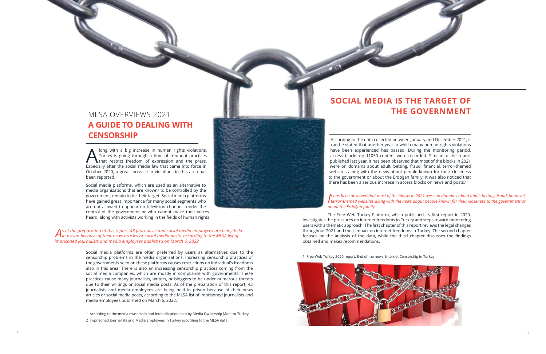

A long with a big increase in human rights violations,<br>Turkey is going through a time of frequent practices<br>that restrict freedom of expression and the press.  $\Delta$  Turkey is going through a time of frequent practices Especially after the social media law that came into force in October 2020, a great increase in violations in this area has been reported.

Social media platforms are often preferred by users as alternatives due to the censorship problems in the media organizations. Increasing censorship practices of the governments seen on these platforms causes restrictions on individual's freedoms also in this area. There is also an increasing censorship practices coming from the social media companies, which are mostly in compliance with governments. These practices cause many journalists, writers, or bloggers to be under numerous threats due to their writings or social media posts. As of the preparation of this report, 43 journalists and media employees are being held in prison because of their news articles or social media posts, according to the MLSA list of imprisoned journalists and media employees published on March 6, 2022.<sup>2</sup>

Social media platforms, which are used as an alternative to media organizations that are known<sup>1</sup> to be controlled by the government, remain to be their target. Social media platforms have gained great importance for many social segments who are not allowed to appear on television channels under the control of the government or who cannot make their voices heard, along with activists working in the fields of human rights.

According to the data collected between January and December 2021, it can be stated that another year in which many human rights violations have been experienced has passed. During the monitoring period, access blocks on 11050 content were recorded. Similar to the report published last year, it has been observed that most of the blocks in 2021 were on domains about adult, betting, fraud, financial, terror-themed websites along with the news about people known for their closeness to the government or about the Erdoğan family. It was also noticed that there has been a serious increase in access blocks on news and posts.<sup>1</sup>

1 According to the media ownership and intensification data by Media Ownership Monitor Turkey

2 Imprisoned Journalists and Media Employees in Turkey according to the MLSA data



#### It has been observed that most of the blocks in 2021 were on domains about adult, betting, fraud, financial, iterror-themed websites along with the news about people known for their closeness to the government or *t has been observed that most of the blocks in 2021 were on domains about adult, betting, fraud, financial, about the Erdoğan family.*

# <span id="page-2-0"></span>MLSA OVERVIEWS 2021 **A GUIDE TO DEALING WITH CENSORSHIP**

### *As of the preparation of this report, 43 journalists and social media employees are being held in prison because of their news articles or social media posts, according to the MLSA list of imprisoned journalists and media employees published on March 6, 2022*

The Free Web Turkey Platform, which published its first report in 2020, investigates the pressures on internet freedoms in Turkey and steps toward monitoring users with a thematic approach. The first chapter of this report reviews the legal changes throughout 2021 and their impact on internet freedoms in Turkey. The second chapter focuses on the analysis of the data, while the third chapter discusses the findings obtained and makes recommendations.

1 Free Web Turkey 2020 report, End of the news, Internet Censorship in Turkey

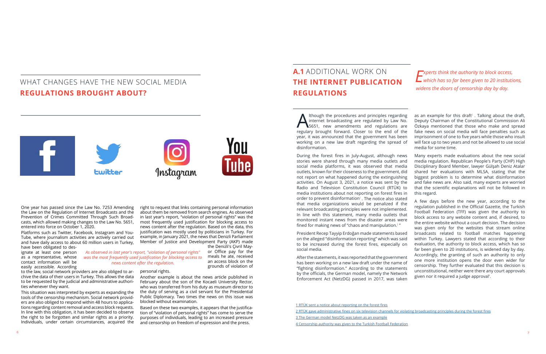# <span id="page-3-0"></span>WHAT CHANGES HAVE THE NEW SOCIAL MEDIA **REGULATIONS BROUGHT ABOUT?**



Although the procedures and principles regarding<br>internet broadcasting are regulated by Law No.<br>5651, new amendments and regulations are<br>regulary brought forward. Closer to the and of the internet broadcasting are regulated by Law No. 5651, new amendments and regulations are regulary brought forward. Closer to the end of the year, it was announced that the government has been working on a new law draft regarding the spread of disinformation.

that media organizations would be penalized if the relevant broadcasting principles were not implemented. In line with this statement, many media outlets that monitored instant news from the disaster areas were President Recep Tayyip Erdoğan made statements based on the alleged "disinformation reporting" which was said to be increased during the forest fires, especially on social media. After the statements, it was reported that the government has been working on a new law draft under the name of "fighting disinformation." According to the statements by the officials, the German model, namely the Network broadcasts related to football matches happening within Turkey. Lawyers stated that according to their evaluation, the authority to block access, which has so far been given to 20 institutions, is widened day by day. Accordingly, the granting of such an authority to only one more institution opens the door even wider for censorship. They further evaluated that this decision is unconstitutional, neither were there any court approvals given nor it required a judge approval $4$ .

as an example for this draft<sup>3</sup>. Talking about the draft, Deputy Chairman of the Constitutional Commission Ali Özkaya mentioned that those who make and spread fake news on social media will face penalties such as imprisonment of one to five years while those who insult will face up to two years and not be allowed to use social media for some time.

Enforcement Act (NetzDG) passed in 2017, was taken

During the forest fires in July-August, although news stories were shared through many media outlets and social media platforms, it was observed that media outlets, known for their closeness to the government, did not report on what happened during the extinguishing activities. On August 3, 2021, a notice was sent by the Radio and Television Constitution Council (RTÜK) to media institutions about not reporting on forest fires in order to prevent disinformation $1$ . The notice also stated fined for making news of "chaos and manipulation.<sup>2</sup>" Many experts made evaluations about the new social media regulation. Republican People's Party (CHP) High Disciplinary Board Member, lawyer Gülşah Deniz Atalar shared her evaluations with MLSA, stating that the biggest problem is to determine what disinformation and fake news are. Also said, many experts are worried that the scientific explanations will not be followed in this regard. A few days before the new year, according to the regulation published in the Official Gazette, the Turkish Football Federation (TFF) was given the authority to block access to any website content and, if desired, to the entire website without a court decision. The decision was given only for the websites that stream online

[1 RTÜK](https://www.haberturk.com/son-dakika-rtuk-ten-orman-yanginlari-uyarisi-3151768 ) sent a notice about reporting on the forest fires [2 RTÜK](https://www.indyturk.com/node/398031/haber/rt%C3%BCk-orman-yang%C4%B1nlar%C4%B1-s%C4%B1ras%C4%B1nda-yay%C4%B1n-ilkelerini-ihlal-etti%C4%9Fi-gerek%C3%A7esiyle-6 ) gave administrative fines on six television channels for violating broadcasting principles during the forest fires [3 T](https://www.hurriyet.com.tr/gundem/sosyal-medyaya-almanya-modeli-yeni-yasada-sosyal-medya-maddeleri-41859721 )he German model NetzDG was taken as an example [4 C](https://www.freewebturkey.com/turkiye-futbol-federasyonuna-sansur-yetkisi/ )ensorship authority was given to the Turkish Football Federation

the Denizli's Civril Mavor Office pay for the meals he ate, received an access block on the grounds of violation of

One year has passed since the Law No. 7253 Amending the Law on the Regulation of Internet Broadcasts and the Prevention of Crimes Committed Through Such Broadcasts, which allowed making changes to the Law No. 5651, entered into force on October 1, 2020.

Platforms such as Twitter, Facebook, Instagram and You-Tube, where journalism activities are actively carried out and have daily access to about 60 million users in Turkey, have been obligated to des-

ignate at least one person as a representative, whose contact information will be easily accessible. According

to the law, social network providers are also obliged to archive the data of their users in Turkey. This allows the data to be requested by the judicial and administrative authorities whenever they want.

This situation was interpreted by experts as expanding the tools of the censorship mechanism. Social network providers are also obliged to respond within 48 hours to applications regarding content removal and access block requests. In line with this obligation, it has been decided to observe the right to be forgotten and similar rights as a priority. Individuals, under certain circumstances, acquired the right to request that links containing personal information about them be removed from search engines. As observed in last year's report, "violation of personal rights" was the most frequently used justification for blocking access to news content after the regulation. Based on the data, this justification was mostly used by politicians in Turkey. For example, in January 2021, the news that Denizli Parliament Member of Justice and Development Party (AKP) made

personal rights.

Another example is about the news article published in February about the son of the Kocaeli University Rector, who was transferred from his duty as museum director to the duty of serving as a civil servant for the Presidential Public Diplomacy. Two times the news on this issue was blocked without examination.

Based on these two examples, it appears that the justification of "violation of personal rights" has come to serve the purposes of individuals, leading to an increased pressure and censorship on freedom of expression and the press.

# **A.1** ADDITIONAL WORK ON **THE INTERNET PUBLICATION REGULATIONS**

*As observed in last year's report, "violation of personal rights" was the most frequently used justification for blocking access to news content after the regulation.* 

*Experts think the authority to block access, which has so far been given to 20 institutions, widens the doors of censorship day by day.*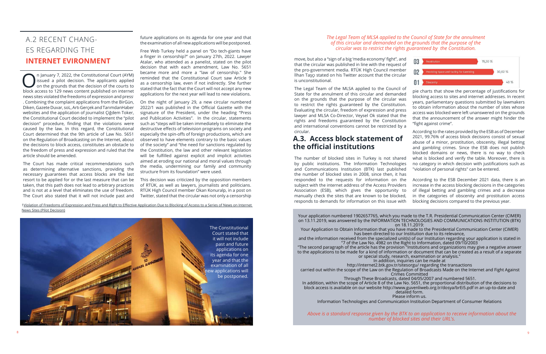# **A.3. Access block statement of the official institutions**

move, but also a "sign of a big 'media economy' fight", and that the circular was published in line with the request of the pro-government media. RTÜK High Council member İlhan Taşçı stated on his Twitter account that the circular is unconstitutional.

The Legal Team of the MLSA applied to the Council of State for the annulment of this circular and demanded on the grounds that the purpose of the circular was to restrict the rights guaranteed by the Constitution. Evaluating the circular, freedom of expression and press lawyer and MLSA Co-Director, Veysel Ok stated that the rights and freedoms guaranteed by the Constitution and international conventions cannot be restricted by a circular. pie charts that show the percentage of justifications for blocking access to sites and internet addresses. In recent years, parliamentary questions submitted by lawmakers to obtain information about the number of sites whose access was blocked were left unanswered on the grounds that the announcement of the answer might hinder the "fight against crime".

The number of blocked sites in Turkey is not shared by public institutions. The Information Technologies and Communications Institution (BTK) last published the number of blocked sites in 2008, since then, it has responded to the requests for information on the subject with the internet address of the Access Providers Association (ESB), which gives the opportunity to manually check the sites that are known to be blocked, responds to demands for information on this issue with "violation of personal rights" can be entered. According to the ESB December 2021 data, there is an increase in the access blocking decisions in the categories of illegal betting and gambling crimes and a decrease in the categories of obscenity and prostitution access blocking decisions compared to the previous year.

According to the rates provided by the ESB as of December 2021, 99.76% of access block decisions consist of sexual abuse of a minor, prostitution, obscenity, illegal betting and gambling crimes. Since the ESB does not publish blocked domains or news, there is no way to check what is blocked and verify the table. Moreover, there is no category in which decision with justifications such as



**On January 7, 2022, the Constitutional Court (AYM)** issued a pilot decision. The applicants applied on the grounds that the decision of the courts to block access to 120 nows content published on internet. issued a pilot decision. The applicants applied block access to 129 news content published on internet news sites violated the freedoms of expression and press<sup>1</sup> . Combining the complaint applications from the BirGün, Diken, Gazete Duvar, soL, Artı Gerçek and TarımdanHaber websites and the application of journalist Çiğdem Toker, the Constitutional Court decided to implement the "pilot decision" procedure, finding that the violations were such as "steps will be taken immediately to eliminate the caused by the law. In this regard, the Constitutional Court determined that the 9th article of Law No. 5651 on the Regulation of Broadcasting on the Internet, about the decisions to block access, constitutes an obstacle to the freedom of press and expression and ruled that the article should be amended.

> Your application numbered 1902657765, which you made to the T.R. Presidential Communication Center (CIMER) on 13.11.2019, was answered by the INFORMATION TECHNOLOGIES AND COMMUNICATIONS INSTITUTION (BTK) on 18.11.2019:

Your Application to Obtain Information that you have made to the Presidential Communication Center (CiMER) has been directed to our Institution due to its relevance,

and the information received from the specialized unit(s) of our Institution regarding your application is stated in "7 of the Law No. 4982 on the Right to Information, dated 09/10/2003

"The second paragraph of the article has the provision "Institutions and organizations may give a negative answer to the applications to be made for a kind of information or document that can be created as a result of a separate or special study, research, examination or analysis."

In addition, inquiries can be made at

http://internet2.btk.gov.tr/sitesorgu/ regarding the transactions

 carried out within the scope of the Law on the Regulation of Broadcasts Made on the Internet and Fight Against Crimes Committed

Through These Broadcasts, dated 04/05/2007 and numbered 5651.

In addition, within the scope of Article 8 of the Law No. 5651, the proportional distribution of the decisions to block access is available on our website http://www.guvenliweb.org.tr/dosya/brEi5.pdf in an up-to-date and detailed form.

Please inform us.

Information Technologies and Communication Institution Department of Consumer Relations

# <span id="page-4-0"></span>A.2 RECENT CHANG-ES REGARDING THE **INTERNET EVIRONMENT**

The Court has made critical recommendations such as determining alternative sanctions, providing the necessary guarantees that access blocks are the last resort to be applied for or the last measure that can be taken, that this path does not lead to arbitrary practices and is not at a level that eliminates the use of freedom. The Court also stated that it will not include past and

1Violation of Freedoms of Expression and Press and Right to Effective Application Due to Blocking of Access to a Series of News on Internet News Sites (Pilot Decision)

future applications on its agenda for one year and that the examination of all new applications will be postponed.

Free Web Turkey held a panel on "Do tech-giants have a finger in censorship?" on January 27th, 2022. Lawyer Atalar, who attended as a panelist, stated on the pilot decision that with each amendment, Law No. 5651 became more and more a "law of censorship." She reminded that the Constitutional Court saw Article 9 as a censorship law, even if not indirectly. She further stated that the fact that the Court will not accept any new applications for the next year will lead to new violations.

On the night of January 29, a new circular numbered 2022/1 was published in the Official Gazette with the signature of the President, under the heading "Press and Publication Activities". In the circular, statements destructive effects of television programs on society and especially the spin-offs of foreign productions, which are observed to have elements contrary to the basic values of the society" and "the need for sanctions regulated by the Constitution, the law and other relevant legislation will be fulfilled against explicit and implicit activities aimed at eroding our national and moral values through the media, undermining our family and community structure from its foundation" were used.

This decision was criticized by the opposition members of RTÜK, as well as lawyers, journalists and politicians. RTÜK High Council member Okan Konuralp, in a post on Twitter, stated that the circular was not only a censorship

#### *The Legal Team of MLSA applied to the Council of State for the annulment of this circular and demanded on the grounds that the purpose of the circular was to restrict the rights guaranteed by the Constitution.*

*Above is a standard response given by the BTK to an application to receive information about the number of blocked sites and their URL's.*

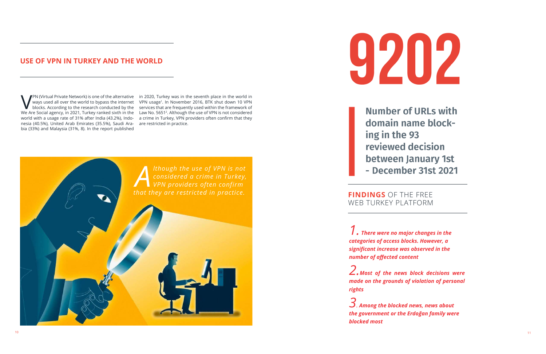VPN (Virtual Private Network) is one of the alternative in 2020, Turkey was in the seventh place in the world in ways used all over the world to bypass the internet VPN usage<sup>1</sup>. In November 2016, BTK shut down 10 VPN bloc nesia (40.5%), United Arab Emirates (35.5%), Saudi Ara-are restricted in practice. bia (33%) and Malaysia (31%, 8). In the report published

ways used all over the world to bypass the internet VPN usage<sup>1</sup>. In November 2016, BTK shut down 10 VPN blocks. According to the research conducted by the services that are frequently used within the framework of We Are Social agency, in 2021, Turkey ranked sixth in the Law No. 5651<sup>2</sup>. Although the use of VPN is not considered world with a usage rate of 31% after India (43.2%), Indo-a crime in Turkey, VPN providers often confirm that they

# **USE OF VPN IN TURKEY AND THE WORLD**





**Number of URLs with** domain name blocking in the 93 reviewed decision between January 1st - December 31st 2021

WEB TURKEY PLATFORM

*1. There were no major changes in the categories of access blocks. However, a significant increase was observed in the number of affected content*

*2.Most of the news block decisions were made on the grounds of violation of personal rights*

*3. Among the blocked news, news about the government or the Erdoğan family were blocked most*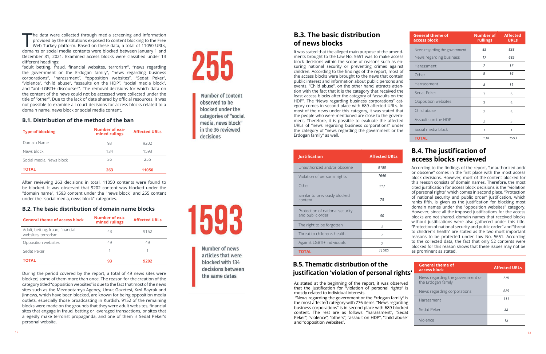### **B.1. Distribution of the method of the ban**

### **B.2. The basic distribution of domain name blocks**

| Web Turkey platform. Based on these data, a total of 11050 URLs,<br>domains or social media contents were blocked between January 1 and<br>December 31, 2021. Examined access blocks were classified under 13<br>different headings:<br>"adult betting, fraud, financial websites, terrorism", "news regarding<br>the government or the Erdogan family", "news regarding business<br>corporations", "harassment", "opposition websites", "Sedat Peker",<br>"violence", "child abuse", "assaults on the HDP", "social media block",<br>and "anti-LGBTI+ discourses". The removal decisions for which data on<br>the content of the news could not be accessed were collected under the<br>title of "other". Due to the lack of data shared by official resources, it was<br>not possible to examine all court decisions for access blocks related to a<br>domain name, news block or social media content.<br><b>B.1. Distribution of the method of the ban</b><br><b>Number of exa-</b><br><b>Type of blocking</b><br>mined rulings<br>Domain Name<br>93<br>134<br>News Block<br>36<br>Social media, News block<br><b>TOTAL</b><br>263<br>After reviewing 263 decisions in total, 11050 contents were found to<br>be blocked. It was observed that 9202 content was blocked under the<br>"domain name", 1593 content under the "news block" and 255 content<br>under the "social media, news block" categories. | <b>Affected URLs</b><br>9202<br>1593<br>255<br>11050 | Number of content<br>observed to be<br>blocked under the<br>categories of "social<br>media, news block"<br>in the 36 reviewed<br>decisions | of news blocks<br>It was stated that the alleged main purpose of the amend-<br>ments brought to the Law No. 5651 was to make access<br>block decisions within the scope of reasons such as en-<br>suring national security or preventing crimes against<br>children. According to the findings of the report, most of<br>the access blocks were brought to the news that contain<br>public interest and information about public persons and<br>events. "Child abuse", on the other hand, attracts atten-<br>tion with the fact that it is the category that received the<br>least access blocks after the category of "assaults on the<br>HDP". The "News regarding business corporations" cat-<br>egory comes in second place with 689 affected URLs. In<br>most of the news under this category, it was stated that<br>the people who were mentioned are close to the govern-<br>ment. Therefore, it is possible to evaluate the affected<br>URLs of "news regarding business corporations" under<br>the category of "news regarding the government or the<br>Erdogan family" as well.<br><b>Justification</b> | <b>Affected URLs</b> | News regarding the government<br>News regarding business<br>Harassment<br>Other<br>Harrassment<br>Sedat Peker<br>Opposition websites<br>Child abuse<br>Assaults on the HDP<br>Social media block<br><b>TOTAL</b><br><b>B.4. The justification of</b>  | 85<br>17<br>$\overline{7}$<br>9<br>5<br>3<br>$\mathcal{E}$<br>$\overline{2}$<br>2<br>$\mathcal{I}$<br>134 | 838<br>689<br>17<br>16<br>11<br>6<br>6<br>6<br>3<br>$\mathcal{I}$<br>1593 |
|-----------------------------------------------------------------------------------------------------------------------------------------------------------------------------------------------------------------------------------------------------------------------------------------------------------------------------------------------------------------------------------------------------------------------------------------------------------------------------------------------------------------------------------------------------------------------------------------------------------------------------------------------------------------------------------------------------------------------------------------------------------------------------------------------------------------------------------------------------------------------------------------------------------------------------------------------------------------------------------------------------------------------------------------------------------------------------------------------------------------------------------------------------------------------------------------------------------------------------------------------------------------------------------------------------------------------------------------------------------------------------------------------------------------|------------------------------------------------------|--------------------------------------------------------------------------------------------------------------------------------------------|-------------------------------------------------------------------------------------------------------------------------------------------------------------------------------------------------------------------------------------------------------------------------------------------------------------------------------------------------------------------------------------------------------------------------------------------------------------------------------------------------------------------------------------------------------------------------------------------------------------------------------------------------------------------------------------------------------------------------------------------------------------------------------------------------------------------------------------------------------------------------------------------------------------------------------------------------------------------------------------------------------------------------------------------------------------------------------------------------------------------|----------------------|-------------------------------------------------------------------------------------------------------------------------------------------------------------------------------------------------------------------------------------------------------|-----------------------------------------------------------------------------------------------------------|---------------------------------------------------------------------------|
|                                                                                                                                                                                                                                                                                                                                                                                                                                                                                                                                                                                                                                                                                                                                                                                                                                                                                                                                                                                                                                                                                                                                                                                                                                                                                                                                                                                                                 |                                                      |                                                                                                                                            |                                                                                                                                                                                                                                                                                                                                                                                                                                                                                                                                                                                                                                                                                                                                                                                                                                                                                                                                                                                                                                                                                                                   |                      |                                                                                                                                                                                                                                                       |                                                                                                           |                                                                           |
|                                                                                                                                                                                                                                                                                                                                                                                                                                                                                                                                                                                                                                                                                                                                                                                                                                                                                                                                                                                                                                                                                                                                                                                                                                                                                                                                                                                                                 |                                                      |                                                                                                                                            |                                                                                                                                                                                                                                                                                                                                                                                                                                                                                                                                                                                                                                                                                                                                                                                                                                                                                                                                                                                                                                                                                                                   |                      |                                                                                                                                                                                                                                                       |                                                                                                           |                                                                           |
|                                                                                                                                                                                                                                                                                                                                                                                                                                                                                                                                                                                                                                                                                                                                                                                                                                                                                                                                                                                                                                                                                                                                                                                                                                                                                                                                                                                                                 |                                                      |                                                                                                                                            |                                                                                                                                                                                                                                                                                                                                                                                                                                                                                                                                                                                                                                                                                                                                                                                                                                                                                                                                                                                                                                                                                                                   |                      |                                                                                                                                                                                                                                                       |                                                                                                           |                                                                           |
|                                                                                                                                                                                                                                                                                                                                                                                                                                                                                                                                                                                                                                                                                                                                                                                                                                                                                                                                                                                                                                                                                                                                                                                                                                                                                                                                                                                                                 |                                                      |                                                                                                                                            |                                                                                                                                                                                                                                                                                                                                                                                                                                                                                                                                                                                                                                                                                                                                                                                                                                                                                                                                                                                                                                                                                                                   |                      |                                                                                                                                                                                                                                                       |                                                                                                           |                                                                           |
|                                                                                                                                                                                                                                                                                                                                                                                                                                                                                                                                                                                                                                                                                                                                                                                                                                                                                                                                                                                                                                                                                                                                                                                                                                                                                                                                                                                                                 |                                                      |                                                                                                                                            |                                                                                                                                                                                                                                                                                                                                                                                                                                                                                                                                                                                                                                                                                                                                                                                                                                                                                                                                                                                                                                                                                                                   |                      |                                                                                                                                                                                                                                                       |                                                                                                           |                                                                           |
|                                                                                                                                                                                                                                                                                                                                                                                                                                                                                                                                                                                                                                                                                                                                                                                                                                                                                                                                                                                                                                                                                                                                                                                                                                                                                                                                                                                                                 |                                                      |                                                                                                                                            |                                                                                                                                                                                                                                                                                                                                                                                                                                                                                                                                                                                                                                                                                                                                                                                                                                                                                                                                                                                                                                                                                                                   |                      |                                                                                                                                                                                                                                                       |                                                                                                           |                                                                           |
|                                                                                                                                                                                                                                                                                                                                                                                                                                                                                                                                                                                                                                                                                                                                                                                                                                                                                                                                                                                                                                                                                                                                                                                                                                                                                                                                                                                                                 |                                                      |                                                                                                                                            |                                                                                                                                                                                                                                                                                                                                                                                                                                                                                                                                                                                                                                                                                                                                                                                                                                                                                                                                                                                                                                                                                                                   |                      |                                                                                                                                                                                                                                                       |                                                                                                           |                                                                           |
|                                                                                                                                                                                                                                                                                                                                                                                                                                                                                                                                                                                                                                                                                                                                                                                                                                                                                                                                                                                                                                                                                                                                                                                                                                                                                                                                                                                                                 |                                                      |                                                                                                                                            |                                                                                                                                                                                                                                                                                                                                                                                                                                                                                                                                                                                                                                                                                                                                                                                                                                                                                                                                                                                                                                                                                                                   |                      |                                                                                                                                                                                                                                                       |                                                                                                           |                                                                           |
|                                                                                                                                                                                                                                                                                                                                                                                                                                                                                                                                                                                                                                                                                                                                                                                                                                                                                                                                                                                                                                                                                                                                                                                                                                                                                                                                                                                                                 |                                                      |                                                                                                                                            |                                                                                                                                                                                                                                                                                                                                                                                                                                                                                                                                                                                                                                                                                                                                                                                                                                                                                                                                                                                                                                                                                                                   |                      |                                                                                                                                                                                                                                                       |                                                                                                           |                                                                           |
|                                                                                                                                                                                                                                                                                                                                                                                                                                                                                                                                                                                                                                                                                                                                                                                                                                                                                                                                                                                                                                                                                                                                                                                                                                                                                                                                                                                                                 |                                                      |                                                                                                                                            |                                                                                                                                                                                                                                                                                                                                                                                                                                                                                                                                                                                                                                                                                                                                                                                                                                                                                                                                                                                                                                                                                                                   |                      |                                                                                                                                                                                                                                                       |                                                                                                           |                                                                           |
|                                                                                                                                                                                                                                                                                                                                                                                                                                                                                                                                                                                                                                                                                                                                                                                                                                                                                                                                                                                                                                                                                                                                                                                                                                                                                                                                                                                                                 |                                                      |                                                                                                                                            |                                                                                                                                                                                                                                                                                                                                                                                                                                                                                                                                                                                                                                                                                                                                                                                                                                                                                                                                                                                                                                                                                                                   |                      |                                                                                                                                                                                                                                                       |                                                                                                           |                                                                           |
|                                                                                                                                                                                                                                                                                                                                                                                                                                                                                                                                                                                                                                                                                                                                                                                                                                                                                                                                                                                                                                                                                                                                                                                                                                                                                                                                                                                                                 |                                                      |                                                                                                                                            |                                                                                                                                                                                                                                                                                                                                                                                                                                                                                                                                                                                                                                                                                                                                                                                                                                                                                                                                                                                                                                                                                                                   |                      |                                                                                                                                                                                                                                                       |                                                                                                           |                                                                           |
|                                                                                                                                                                                                                                                                                                                                                                                                                                                                                                                                                                                                                                                                                                                                                                                                                                                                                                                                                                                                                                                                                                                                                                                                                                                                                                                                                                                                                 |                                                      |                                                                                                                                            |                                                                                                                                                                                                                                                                                                                                                                                                                                                                                                                                                                                                                                                                                                                                                                                                                                                                                                                                                                                                                                                                                                                   |                      |                                                                                                                                                                                                                                                       |                                                                                                           |                                                                           |
|                                                                                                                                                                                                                                                                                                                                                                                                                                                                                                                                                                                                                                                                                                                                                                                                                                                                                                                                                                                                                                                                                                                                                                                                                                                                                                                                                                                                                 |                                                      |                                                                                                                                            |                                                                                                                                                                                                                                                                                                                                                                                                                                                                                                                                                                                                                                                                                                                                                                                                                                                                                                                                                                                                                                                                                                                   |                      |                                                                                                                                                                                                                                                       |                                                                                                           |                                                                           |
|                                                                                                                                                                                                                                                                                                                                                                                                                                                                                                                                                                                                                                                                                                                                                                                                                                                                                                                                                                                                                                                                                                                                                                                                                                                                                                                                                                                                                 |                                                      |                                                                                                                                            |                                                                                                                                                                                                                                                                                                                                                                                                                                                                                                                                                                                                                                                                                                                                                                                                                                                                                                                                                                                                                                                                                                                   |                      | access blocks reviewed                                                                                                                                                                                                                                |                                                                                                           |                                                                           |
|                                                                                                                                                                                                                                                                                                                                                                                                                                                                                                                                                                                                                                                                                                                                                                                                                                                                                                                                                                                                                                                                                                                                                                                                                                                                                                                                                                                                                 |                                                      |                                                                                                                                            | Unauthorized and/or obscene                                                                                                                                                                                                                                                                                                                                                                                                                                                                                                                                                                                                                                                                                                                                                                                                                                                                                                                                                                                                                                                                                       | 9155                 | According to the findings of the report, "unauthorized and/<br>or obscene" comes in the first place with the most access                                                                                                                              |                                                                                                           |                                                                           |
| <b>B.2. The basic distribution of domain name blocks</b>                                                                                                                                                                                                                                                                                                                                                                                                                                                                                                                                                                                                                                                                                                                                                                                                                                                                                                                                                                                                                                                                                                                                                                                                                                                                                                                                                        |                                                      |                                                                                                                                            | Similar to previously blocked<br>content<br>Protection of national security                                                                                                                                                                                                                                                                                                                                                                                                                                                                                                                                                                                                                                                                                                                                                                                                                                                                                                                                                                                                                                       | 75                   | of personal rights" which comes in second place. "Protection<br>of national security and public order" justification, which<br>ranks fifth, is given as the justification for blocking most<br>domain names under the "opposition websites" category. |                                                                                                           |                                                                           |
| <b>Number of exa-</b><br><b>General theme of access block</b><br>mined rulings                                                                                                                                                                                                                                                                                                                                                                                                                                                                                                                                                                                                                                                                                                                                                                                                                                                                                                                                                                                                                                                                                                                                                                                                                                                                                                                                  | <b>Affected URLs</b>                                 |                                                                                                                                            | and public order                                                                                                                                                                                                                                                                                                                                                                                                                                                                                                                                                                                                                                                                                                                                                                                                                                                                                                                                                                                                                                                                                                  | 50                   | However, since all the imposed justifications for the access<br>blocks are not shared, domain names that received blocks<br>without justifications were also gathered under this title.                                                               |                                                                                                           |                                                                           |
| Adult, betting, fraud, financial<br>43                                                                                                                                                                                                                                                                                                                                                                                                                                                                                                                                                                                                                                                                                                                                                                                                                                                                                                                                                                                                                                                                                                                                                                                                                                                                                                                                                                          |                                                      |                                                                                                                                            | The right to be forgotten                                                                                                                                                                                                                                                                                                                                                                                                                                                                                                                                                                                                                                                                                                                                                                                                                                                                                                                                                                                                                                                                                         | 3                    | "Protection of national security and public order" and "threat                                                                                                                                                                                        |                                                                                                           |                                                                           |
| websites, terrorism                                                                                                                                                                                                                                                                                                                                                                                                                                                                                                                                                                                                                                                                                                                                                                                                                                                                                                                                                                                                                                                                                                                                                                                                                                                                                                                                                                                             | 9152                                                 |                                                                                                                                            | Threat to children's health                                                                                                                                                                                                                                                                                                                                                                                                                                                                                                                                                                                                                                                                                                                                                                                                                                                                                                                                                                                                                                                                                       |                      | to children's health" are stated as the two most important<br>reasons to be protected under Law No. 5651. According                                                                                                                                   |                                                                                                           |                                                                           |
| 49<br>Opposition websites                                                                                                                                                                                                                                                                                                                                                                                                                                                                                                                                                                                                                                                                                                                                                                                                                                                                                                                                                                                                                                                                                                                                                                                                                                                                                                                                                                                       | 49                                                   |                                                                                                                                            | Against LGBTI+ individuals                                                                                                                                                                                                                                                                                                                                                                                                                                                                                                                                                                                                                                                                                                                                                                                                                                                                                                                                                                                                                                                                                        | $\overline{2}$       | to the collected data, the fact that only 52 contents were<br>blocked for this reason shows that these issues may not be                                                                                                                              |                                                                                                           |                                                                           |
| Sedat Peker                                                                                                                                                                                                                                                                                                                                                                                                                                                                                                                                                                                                                                                                                                                                                                                                                                                                                                                                                                                                                                                                                                                                                                                                                                                                                                                                                                                                     |                                                      | Number of news<br>articles that were                                                                                                       | <b>TOTAL</b>                                                                                                                                                                                                                                                                                                                                                                                                                                                                                                                                                                                                                                                                                                                                                                                                                                                                                                                                                                                                                                                                                                      | 11050                | as prominent as stated.                                                                                                                                                                                                                               |                                                                                                           |                                                                           |
| <b>TOTAL</b><br>93<br>During the period covered by the report, a total of 49 news sites were                                                                                                                                                                                                                                                                                                                                                                                                                                                                                                                                                                                                                                                                                                                                                                                                                                                                                                                                                                                                                                                                                                                                                                                                                                                                                                                    | 9202                                                 | blocked with 134<br>decisions between                                                                                                      | <b>B.5. Thematic distribution of the</b><br>justification 'violation of personal rights'                                                                                                                                                                                                                                                                                                                                                                                                                                                                                                                                                                                                                                                                                                                                                                                                                                                                                                                                                                                                                          |                      | <b>General theme of</b><br>access block                                                                                                                                                                                                               |                                                                                                           | <b>Affected URLs</b>                                                      |
| blocked, some of them more than once. The reason for the creation of the<br>category titled "opposition websites" is due to the fact that most of the news                                                                                                                                                                                                                                                                                                                                                                                                                                                                                                                                                                                                                                                                                                                                                                                                                                                                                                                                                                                                                                                                                                                                                                                                                                                      |                                                      | the same dates                                                                                                                             | As stated at the beginning of the report, it was observed<br>that the justification for "violation of personal rights" is                                                                                                                                                                                                                                                                                                                                                                                                                                                                                                                                                                                                                                                                                                                                                                                                                                                                                                                                                                                         |                      | News regarding the government or<br>the Erdogan family                                                                                                                                                                                                |                                                                                                           | 776                                                                       |
| sites such as the Mezopotamya Agency, Umut Gazetesi, Kızıl Bayrak and<br>Jinnews, which have been blocked, are known for being opposition media                                                                                                                                                                                                                                                                                                                                                                                                                                                                                                                                                                                                                                                                                                                                                                                                                                                                                                                                                                                                                                                                                                                                                                                                                                                                 |                                                      |                                                                                                                                            | mostly related to individual interests.                                                                                                                                                                                                                                                                                                                                                                                                                                                                                                                                                                                                                                                                                                                                                                                                                                                                                                                                                                                                                                                                           |                      | News regarding corporations                                                                                                                                                                                                                           |                                                                                                           | 689                                                                       |
| outlets, especially those broadcasting in Kurdish. 9152 of the remaining                                                                                                                                                                                                                                                                                                                                                                                                                                                                                                                                                                                                                                                                                                                                                                                                                                                                                                                                                                                                                                                                                                                                                                                                                                                                                                                                        |                                                      |                                                                                                                                            | "News regarding the government or the Erdogan family" is<br>the most affected category with 776 items. "News regarding                                                                                                                                                                                                                                                                                                                                                                                                                                                                                                                                                                                                                                                                                                                                                                                                                                                                                                                                                                                            |                      | Harassment                                                                                                                                                                                                                                            |                                                                                                           | 111                                                                       |
| blocks were made on the grounds that they were adult websites, financial<br>sites that engage in fraud, betting or leveraged transactions, or sites that                                                                                                                                                                                                                                                                                                                                                                                                                                                                                                                                                                                                                                                                                                                                                                                                                                                                                                                                                                                                                                                                                                                                                                                                                                                        |                                                      |                                                                                                                                            | business corporations" is in second place with 689 blocked<br>content. The rest are as follows: "harassment", "Sedat                                                                                                                                                                                                                                                                                                                                                                                                                                                                                                                                                                                                                                                                                                                                                                                                                                                                                                                                                                                              |                      | Sedat Peker                                                                                                                                                                                                                                           |                                                                                                           | 32                                                                        |
| allegedly make terrorist propaganda, and one of them is Sedat Peker's<br>personal website.                                                                                                                                                                                                                                                                                                                                                                                                                                                                                                                                                                                                                                                                                                                                                                                                                                                                                                                                                                                                                                                                                                                                                                                                                                                                                                                      |                                                      |                                                                                                                                            | Peker", "violence", "others", "assault on HDP", "child abuse"<br>and "opposition websites".                                                                                                                                                                                                                                                                                                                                                                                                                                                                                                                                                                                                                                                                                                                                                                                                                                                                                                                                                                                                                       |                      | Violence                                                                                                                                                                                                                                              |                                                                                                           | 13                                                                        |

| <b>General theme of access block</b>                    | Number of exa-<br>mined rulings | <b>Affected URLs</b> |
|---------------------------------------------------------|---------------------------------|----------------------|
| Adult, betting, fraud, financial<br>websites, terrorism | 43                              | 9152                 |
| Opposition websites                                     | 49                              | 49                   |
| Sedat Peker                                             |                                 |                      |
| TOTAL                                                   | q3                              | 9702                 |

| <b>Type of blocking</b>  | Number of exa-<br>mined rulings | <b>Affected URLs</b> |
|--------------------------|---------------------------------|----------------------|
| Domain Name              | 93                              | 9202                 |
| News Block               | 134                             | 1593                 |
| Social media, News block | 36                              | 255                  |
| <b>TOTAL</b>             | 263                             | 11050                |

# **B.3. The basic distribution of news blocks**

### **B.5. Thematic distribution of the justification 'violation of personal rights**

| <b>Justification</b>                                | <b>Affected URLs</b> |
|-----------------------------------------------------|----------------------|
| Unauthorized and/or obscene                         | 9155                 |
| Violation of personal rights                        | 1646                 |
| Other                                               | 117                  |
| Similar to previously blocked<br>content            | 75                   |
| Protection of national security<br>and public order | 50                   |
| The right to be forgotten                           | 3                    |
| Threat to children's health                         | $\mathcal{P}$        |
| Against LGBTI+ individuals                          | $\mathfrak{D}$       |
| <b>TOTAL</b>                                        | 11050                |

| thts'         | <b>General theme of</b><br>access block                | <b>Affected URLs</b> |
|---------------|--------------------------------------------------------|----------------------|
| rved          | News regarding the government or<br>the Erdogan family | 776                  |
| s" is         | News regarding corporations                            | 689                  |
| y" is<br>ding | Harassment                                             | 111                  |
| :ked<br>edat  | Sedat Peker                                            | 32                   |
| use"          | Violence                                               | 13                   |

# **B.4. The justification of access blocks reviewed**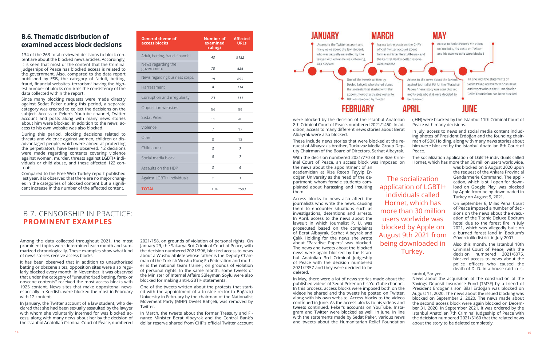# **B.6. Thematic distribution of examined access block decisions**

134 of the 263 total reviewed decisions to block content are about the blocked news articles. Accordingly, it is seen that most of the content that the Criminal Judgeships of Peace has blocked access is related to the government. Also, compared to the data report published by ESB, the category of "adult, betting, fraud, financial websites, terrorism" having the highest number of blocks confirms the consistency of the data collected within the report.

Since many blocking requests were made directly against Sedat Peker during this period, a separate category was created to collect the decisions on the subject. Access to Peker's Youtube channel, Twitter account and posts along with many news stories about him were blocked. In addition to the news, access to his own website was also blocked.

During this period, blocking decisions related to threats and violence against women, children or disadvantaged people, which were aimed at protecting the perpetrators, have been observed. 12 decisions were made regarding contents covering violence against women, murder, threats against LGBTI+ individuals or child abuse, and these affected 122 contents.

Compared to the Free Web Turkey report published last year, it is observed that there are no major changes in the categories of blocked content but a significant increase in the number of the affected content.

# B.7. CENSORSHIP IN PRACTICE: **PROMINENT EXAMPLES**

Among the data collected throughout 2021, the most prominent topics were determined each month and summarized chronologically. These examples show what kind of news stories receive access blocks.

It has been observed that in addition to unauthorized betting or obscene sites, opposition sites were also regularly blocked every month. In November, it was observed that under the category of "unauthorized betting, forex or obscene contents" received the most access blocks with 1925 content. News sites that make oppositonal news, especially in Kurdish, were blocked the most in February with 12 content.

In January, the Twitter account of a law student, who declared that she had been sexually assaulted by the lawyer with whom she voluntarily interned for was blocked access, along with many news about her by the decision of the Istanbul Anatolian Criminal Court of Peace, numbered

2021/158, on grounds of violation of personal rights. On January 29, the Sakarya 3rd Criminal Court of Peace, with the decision numbered 2021/296, blocked access to news about a Wushu athlete whose father is the Deputy Chairman of the Turkish Wushu Kung Fu Federation and mother is the national team trainer, on grounds of violation of personal rights. In the same month, some tweets of the Minister of Internal Affairs Süleyman Soylu were also blocked for making anti-LGBTI+ statements.

One of the tweets written about the protests that started with the appointment of a trustee rector to Boğaziçi University in February by the chairman of the Nationalist Movement Party (MHP) Devlet Bahçeli, was removed by Twitter.

In March, the tweets about the former Treasury and Finance Minister Berat Albayrak and the Central Bank's dollar reserve shared from CHP's official Twitter account



# **FEBRUARY**

the news about the appointment of an academician at Rize Recep Tayyip Erdoğan University as the head of the department, whom female students complained about harassing and insulting them.

Access blocks to news also affect the journalists who write the news, causing them to encounter situations such as investigations, detentions and arrests. In April, access to the news about the lawsuit in which Journalist P. Ü. was prosecuted based on the complaints of Berat Albayrak, Serhat Albayrak and Çalık Holding for the news she wrote about "Paradise Papers" was blocked. The news and tweets about the blocked news were again blocked by the Istanbul Anatolian 3rd Criminal Judgeship of Peace with the decision numbered 2021/2357 and they were decided to be deleted.

were blocked by the decision of the Istanbul Anatolian 8th Criminal Court of Peace, numbered 2021/1450. In addition, access to many different news stories about Berat Albayrak were also blocked. (IHH) were blocked by the Istanbul 11th Criminal Court of Peace with many decisions. In July, access to news and social media content includ-

These include news stories that were blocked at the request of Albayrak's brother, Turkuvaz Media Group Deputy Chairman of the Board of Directors, Serhat Albayrak. ing photos of President Erdoğan and the founding chairman of SBK Holding, along with many news stories about him were blocked by the Istanbul Anatolian 8th Court of Peace.

With the decision numbered 2021/770 of the Rize Criminal Court of Peace, an access block was imposed on The socialization application of LGBTI+ individuals called Hornet, which has more than 30 million users worldwide,

was blocked on 6 August 2020 upon the request of the Ankara Provincial Gendarmerie Command. The application, which is still open for download on Google Play, was blocked by Apple from being downloaded in Turkey on August 9, 2021.

In line with the statements of

Sedat Peker, access to various news

and tweets about the Humanitarian

Relief Foundation has been blocked

In May, there were a lot of news stories made about the published videos of Sedat Peker on his YouTube channel. In this process, access blocks were imposed both on the videos he shared and the tweets he posted on Twitter, along with his own website. Access blocks to the videos continued in June. As the access blocks to his videos and tweets continued, Peker's accounts on YouTube, Instagram and Twitter were blocked as well. In June, in line with the statements made by Sedat Peker, various news and tweets about the Humanitarian Relief Foundation News about the acquisition of the construction of the Savings Deposit Insurance Fund (TMSF) by a friend of President Erdoğan's son Bilal Erdoğan was blocked on August 11, 2020. The news about the issued blocking was blocked on September 2, 2020. The news made about the second access block were again blocked on December 31, 2020. In September 2021, it was ordered by the Istanbul Anatolian 7th Criminal Judgeship of Peace with the deicision numbered 2021/5160 that the related news about the story to be deleted completely.

# MAY

Access to Sedat Peker's 4th video on YouTube, his posts on Twitter and his own website were blocked

Access to the news about the lawsui against journalist PU for the "Paradise Papers" news story was also blocked and tweets about it were decided to be removed

# APRIL

# **IIINF**

On September 6, Milas Penal Court of Peace imposed a number of decisions on the news about the evacuation of the Titanic Deluxe Bodrum hotel due to the forest fire in July 2021, which was allegedly built on a burned forest land in Bodrum's Güvercinlik district in July 2007.

Also this month, the Istanbul 10th Criminal Court of Peace, with the decision numbered 2021/6075, blocked access to news about the police officers who caused the death of D. D. in a house raid in Is-

tanbul, Sarıyer.

| <b>General theme of</b><br>access blocks | Number of<br>examined<br>rulings | <b>Affected</b><br><b>URLs</b> |
|------------------------------------------|----------------------------------|--------------------------------|
| Adult, betting, fraud, financial         | 43                               | 9152                           |
| News regarding the<br>government         | 78                               | 828                            |
| News regarding business corps.           | 19                               | 695                            |
| Harrassment                              | 8                                | 114                            |
| Corruption and irregularity              | 23                               | 111                            |
| Opposition websites                      | 54                               | 59                             |
| Sedat Peker                              | 11                               | 40                             |
| Violence                                 | 7                                | 17                             |
| Other                                    | 8                                | 13                             |
| Child abuse                              | 3                                | 7                              |
| Social media block                       | 5                                | 7                              |
| Assaults on the HDP                      | 3                                | 6                              |
| Against LGBTI+ individuals               | 1                                | 1                              |
| <b>TOTAL</b>                             | 134                              | 1593                           |

The socialization application of LGBTI+ individuals called Hornet, which has more than 30 million users worlwide was blocked by Apple on August 9th 2021 from being downloaded in Turkey.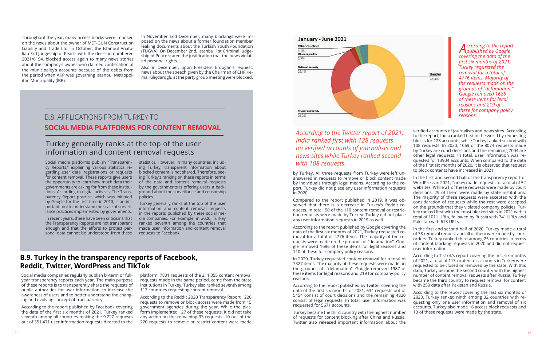Social media platforms publish "Transparency Reports," explaining various statistics regarding user data, registrations or requests for content removal. These reports give users the opportunity to learn how much data their governments are asking for from these institutions. According to digital activists, The Transparency Report practice, which was initiated by Google for the first time in 2010, is an important tool to understand the scale of surveillance practices implemented by governments.

In recent years, there have been criticisms that the Transparency Reports are not transparent enough and that the efforts to protect personal data cannot be understood from these statistics. However, in many countries, including Turkey, transparent information about blocked content is not shared. Therefore, seeing Turkey's ranking on these reports in terms of the data and content removal requests by the governments is offering users a background about the surveillance and censorship policies.

Turkey generally ranks at the top of the user information and content removal requests in the reports published by these social media companies. For example, in 2020, Turkey ranked seventh among the countries that made user information and content removal requests to Facebook.

# Turkey generally ranks at the top of the user information and content removal requests

# **B.9. Turkey in the transparency reports of Facebook, Reddit, Twitter, WordPress and TikTok**

Social media companies regularly publish bi-term or fullyear transparency reports each year. The main purpose of these reports is to transparently share the requests of public authorities for user information, to increase the awareness of users and to better understand the changing and evolving concept of transparency.

According to the report published by Facebook covering the data of the first six months of 2021, Turkey ranked seventh among all countries making the 9,227 requests out of 351,471 user information requests directed to the

platform. 7801 requests of the 211,055 content removal requests made in the same period, came from the state institutions in Turkey. Turkey also ranked seventh among 117 countries requesting content removal.

According to the Reddit 2020 Transparency Report, 220 requests to remove or block access were made from 15 government agencies during the year. While the platform implemented 127 of these requests, it did not take any action on the remaining 93 requests. 10 out of the 220 requests to remove or restrict content were made



answered in requests to remove or block content made by individuals through legal means. According to the report, Turkey did not place any user information requests in 2020. Compared to the report published in 2019, it was observed that there is a decrease in Turkey's Reddit requests. In total, 50 of the 110 content removal or restriction requests were made by Turkey. Turkey did not place any user information requests in 2019 as well.

by Turkey. All three requests from Turkey were left un-In the first and second half of the transparency report of WordPress in 2021, Turkey made requests for a total of 52 websites. While 21 of these requests were made by court decisions, 29 of them were made by state institutions. The majority of these requests were accepted with the consideration of requests while the rest were accepted on the grounds that they violated company policies. Turkey ranked first with the most blocked sites in 2021 with a total of 1011 URLs, followed by Russia with 741 URLs and Pakistan with 613 URLs.

of requests for content blocking after China and Russia. Twitter also released important information about the

According to the report published by Google covering the data of the first six months of 2021, Turkey requested removal for a total of 4776 items. The majority of the requests were made on the grounds of "defamation". Google removed 1686 of these items for legal reasons and 110 of these for company policy reasons. In the first and second half of 2020, Turkey made a total of 38 removal request and all of them were made by court orders. Turkey ranked third among 25 countries in terms of content blocking requests in 2020 and did not request user information.

verified accounts of journalists and news sites. According to the report, India ranked first in the world by requesting blocks for 128 accounts, while Turkey ranked second with 108 requests. In 2020, 1069 of the 8074 requests made by Turkey are court decisions and the remaining 7004 are other legal requests. In total, user information was requested for 13904 accounts. When compared to the data of the first six months of 2020, it is observed that request to block contents have increased in 2021.

In 2020, Turkey requested content removal for a total of 7327 items. The majority of these requests were made on the grounds of "defamation". Google removed 1987 of these items for legal reasons and 219 for company policy reasons. According to the report published by Twitter covering the According to TikTok's report covering the first six months of 2021, a total of 113 content or accounts in Turkey were requested to be closed or removed by the state. With this data, Turkey became the second country with the highest number of content removal requests after Russia. Turkey became the third country to request removal for content with 250 data after Pakistan and Russia.

data of the first six months of 2021, 634 requests out of 5454 consist of court decisions and the remaining 4820 consist of legal requests. In total, user information was requested for 5671 accounts. Turkey became the third country with the highest number According to the report covering the last six months of 2020, Turkey ranked ninth among 32 countries with requesting only one user information and removal of six accounts. Turkey also made 16 access block requests and 13 of these requests were made by the state.

### *According to the Twitter report of 2021, India ranked first with 128 requests on verified accounts of journalists and news sites while Turkey ranked second with 108 requests.*

# B.8. APPLICATIONS FROM TURKEY TO **SOCIAL MEDIA PLATFORMS FOR CONTENT REMOVAL**

*According to the report published by Google covering the data of the first six months of 2021, Turkey requested the removal for a total of 4776 items. Majority of the requests made on the grounds of "defamation." Google removed 1686 of these items for legal reasons and 219 of these for company policy reasons.*

Throughout the year, many access blocks were imposed on the news about the owner of MET-GUN Construction Liability and Trade Ltd. In October, the Istanbul Anatolian 3rd Judgeship of Peace, with the decision numbered 2021/6154, blocked access again to many news stories about the company's owner who claimed confiscation of the municipality's accounts because of the debts from the period when AKP was governing Istanbul Metropolitan Municipality (İBB).

In November and December, many blockings were imposed on the news about a former foundation member leaking documents about the Turkish Youth Foundation (TÜGVA). On December 2nd, Istanbul 1st Criminal Judgeship of Peace stated the justification that the news violated personal rights.

Also in December, upon President Erdogan's request, news about the speech given by the Chairman of CHP Kemal Kılıçdaroğlu at the party group meeting were blocked.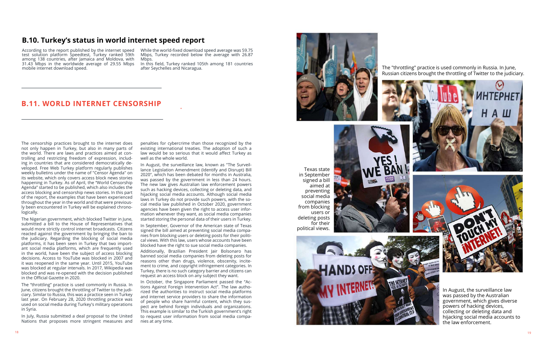The censorship practices brought to the internet does not only happen in Turkey, but also in many parts of the world. There are laws and practices aimed at controlling and restricting freedom of expression, including in countries that are considered democratically developed. Free Web Turkey platform regularly publishes weekly bulletins under the name of "Censor Agenda" on its website, which only covers access block news stories happening in Turkey. As of April, the "World Censorship Agenda" started to be published, which also includes the access blocking and censorship news stories. In this part of the report, the examples that have been experienced throughout the year in the world and that were previously been encountered in Turkey will be explained chronologically.

The Nigerian government, which blocked Twitter in June, submitted a bill to the House of Representatives that would more strictly control internet broadcasts. Citizens reacted against the government by bringing the ban to the judiciary. Regarding the blocking of social media platforms, it has been seen in Turkey that two important social media platforms, which are frequently used in the world, have been the subject of access blocking decisions. Access to YouTube was blocked in 2007 and it was reopened in the same year. Until 2015, YouTube was blocked at regular intervals. In 2017, Wikipedia was blocked and was re-opened with the decision published in the Official Gazette in 2020.

The "throttling" practice is used commonly in Russia. In June, citizens brought the throttling of Twitter to the judiciary. Similar to Russia, this was a practice seen in Turkey last year. On February 28, 2020 throttling practice was used on social media during Turkey's military operations in Syria.

In July, Russia submitted a deal proposal to the United Nations that proposes more stringent measures and

penalties for cybercrime than those recognized by the existing international treaties. The adoption of such a law would be so serious that it would affect Turkey as well as the whole world.

While the world-fixed download speed average was 59.75 Mbps, Turkey recorded below the average with 26.87 Mbps.

In August, the surveillance law, known as "The Surveillance Legislation Amendment (Identify and Disrupt) Bill 2020", which has been debated for months in Australia, was passed by the government in less than 24 hours. The new law gives Australian law enforcement powers such as hacking devices, collecting or deleting data, and hijacking social media accounts. Although social media laws in Turkey do not provide such powers, with the social media law published in October 2020, government agencies have been given the right to access user information whenever they want, as social media companies started storing the personal data of their users in Turkey.

In September, Governor of the American state of Texas signed the bill aimed at preventing social media companies from blocking users or deleting posts for their political views. With this law, users whose accounts have been blocked have the right to sue social media companies. Additionally, Brazilian President Jair Bolsonaro has banned social media companies from deleting posts for reasons other than drugs, violence, obscenity, incitement to crime, and copyright infringement categories. In Turkey, there is no such category barrier and citizens can

request an access block on any subject they want.



In October, the Singapore Parliament passed the "Actions Against Foreign Intervention Act". The law authorized the authorities to instruct social media platforms and internet service providers to share the information of people who share harmful content, which they suspect are behind foreign individuals and organizations. This example is similar to the Turkish government's right to request user information from social media companies at any time.

### **B.10. Turkey's status in world internet speed report**

According to the report published by the internet speed test solution platform Speedtest, Turkey ranked 59th among 138 countries, after Jamaica and Moldova, with 31.43 Mbps in the worldwide average of 29.55 Mbps mobile internet download speed.

In this field, Turkey ranked 105th among 181 countries after Seychelles and Nicaragua.

# **B.11. WORLD INTERNET CENSORSHIP**

Texas state in September signed a bill aimed at preventing social media companies from blocking users or deleting posts for their political views.





The "throttling" practice is used commonly in Russia. In June, Russian citizens brought the throttling of Twitter to the judiciary.

In August, the surveillance law was passed by the Australian government, which gives diverse powers of hacking devices, collecting or deleting data and hijacking social media accounts to

the law enforcement.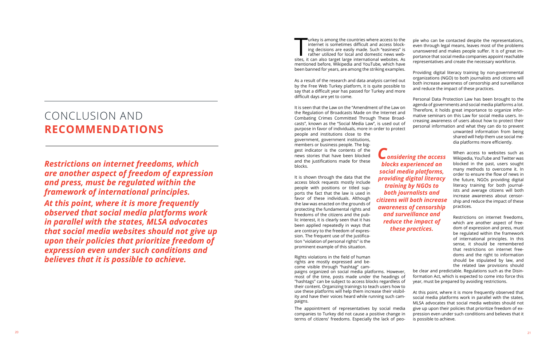people and institutions close to the government, government institutions, members or business people. The big gest indicator is the contents of the news stories that have been blocked and the justifications made for these blocks.

urkey is among the countries where access to the internet is sometimes difficult and access block ing decisions are easily made. Such "easiness" is rather utilized for local and domestic news web sites, it can also target large international websites. As mentioned before, Wikipedia and YouTube, which have been banned for years, are among the striking examples. ple who can be contacted despite the representations, even through legal means, leaves most of the problems unanswered and makes people suffer. It is of great im portance that social media companies appoint reachable representatives and create the necessary workforce.

It is shown through the data that the access block requests mostly include people with positions or titled sup ports the fact that the law is used in favor of these individuals. Although the law was enacted on the grounds of protecting the fundamental rights and freedoms of the citizens and the pub lic interest, it is clearly seen that it has been applied repeatedly in ways that are contrary to the freedom of expres sion. The frequent use of the justifica tion "violation of personal rights" is the prominent example of this situation.

As a result of the research and data analysis carried out by the Free Web Turkey platform, it is quite possible to say that a difficult year has passed for Turkey and more difficult days are yet to come. Providing digital literacy training by non-governmental organizations (NGO) to both journalists and citizens will both increase awareness of censorship and surveillance and reduce the impact of these practices.

Rights violations in the field of human rights are mostly expressed and be come visible through "hashtag" cam -

It is seen that the Law on the "Amendment of the Law on the Regulation of Broadcasts Made on the Internet and Combating Crimes Committed Through These Broad casts", known as the "Social Media Law", is used out of purpose in favor of individuals, more in order to protect Personal Data Protection Law has been brought to the agenda of governments and social media platforms a lot. Therefore, it holds great importance to organize infor mative seminars on this Law for social media users. In creasing awareness of users about how to protect their personal information and what they can do to prevent

<sup>20</sup> <sup>21</sup> <sup>T</sup> *Restrictions on internet freedoms, which are another aspect of freedom of expression and press, must be regulated within the framework of international principles. At this point, where it is more frequently observed that social media platforms work in parallel with the states, MLSA advocates that social media websites should not give up upon their policies that prioritize freedom of expression even under such conditions and believes that it is possible to achieve.*

paigns organized on social media platforms. However, most of the time, posts made under the headings of "hashtags" can be subject to access blocks regardless of their content. Organizing trainings to teach users how to use these platforms will help them increase their visibil ity and have their voices heard while running such cam paigns. be clear and predictable. Regulations such as the Disin formation Act, which is expected to come into force this year, must be prepared by avoiding restrictions. At this point, where it is more frequently observed that social media platforms work in parallel with the states,

unwanted information from being shared will help them use social me dia platforms more efficiently.

The appointment of representatives by social media companies to Turkey did not cause a positive change in terms of citizens' freedoms. Especially the lack of peo - MLSA advocates that social media websites should not give up upon their policies that prioritize freedom of ex pression even under such conditions and believes that it is possible to achieve.

When access to websites such as Wikipedia, YouTube and Twitter was blocked in the past, users sought many methods to overcome it. In order to ensure the flow of news in the future, NGOs providing digital literacy training for both journal ists and average citizens will both increase awareness about censor ship and reduce the impact of these practices.

Restrictions on internet freedoms, which are another aspect of free dom of expression and press, must be regulated within the framework of international principles. In this sense, it should be remembered that restrictions on internet free doms and the right to information should be stipulated by law, and the related law provisions should

*Considering the access blocks experienced on social media platforms, providing digital literacy training by NGOs to both journalists and citizens will both increase awareness of censorship and surveillance and reduce the impact of these practices.*

# CONCLUSION AND **RECOMMENDATIONS**